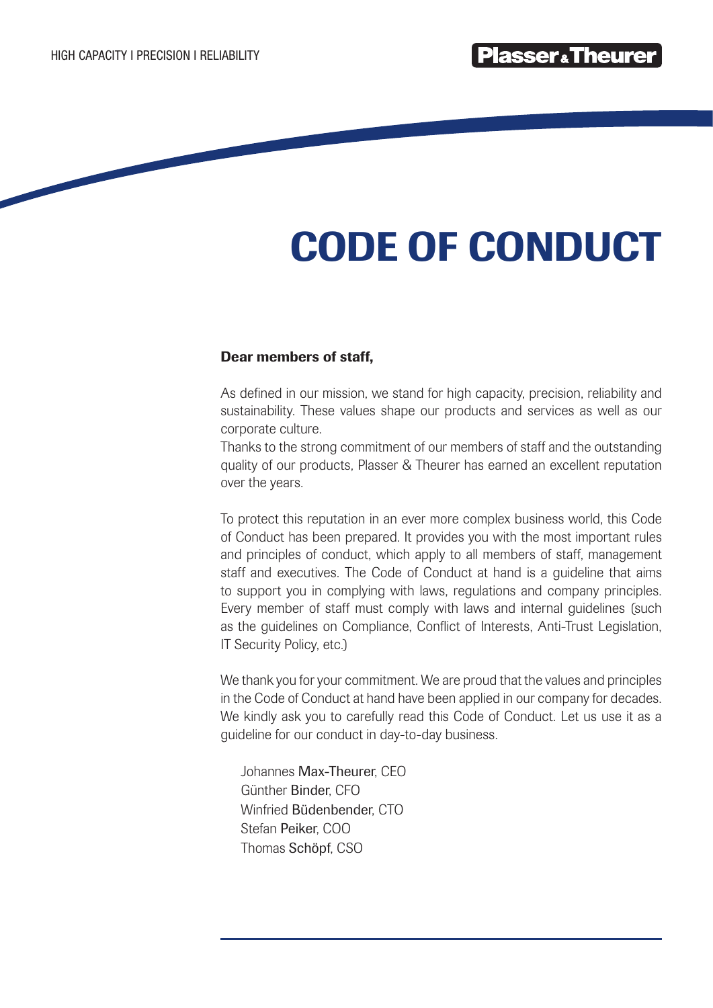# CODE OF CONDUCT

# Dear members of staff,

As defined in our mission, we stand for high capacity, precision, reliability and sustainability. These values shape our products and services as well as our corporate culture.

Thanks to the strong commitment of our members of staff and the outstanding quality of our products, Plasser & Theurer has earned an excellent reputation over the years.

To protect this reputation in an ever more complex business world, this Code of Conduct has been prepared. It provides you with the most important rules and principles of conduct, which apply to all members of staff, management staff and executives. The Code of Conduct at hand is a guideline that aims to support you in complying with laws, regulations and company principles. Every member of staff must comply with laws and internal guidelines (such as the guidelines on Compliance, Conflict of Interests, Anti-Trust Legislation, IT Security Policy, etc.)

We thank you for your commitment. We are proud that the values and principles in the Code of Conduct at hand have been applied in our company for decades. We kindly ask you to carefully read this Code of Conduct. Let us use it as a guideline for our conduct in day-to-day business.

Johannes Max-Theurer, CEO Günther Binder, CFO Winfried Büdenbender, CTO Stefan Peiker, COO Thomas Schöpf, CSO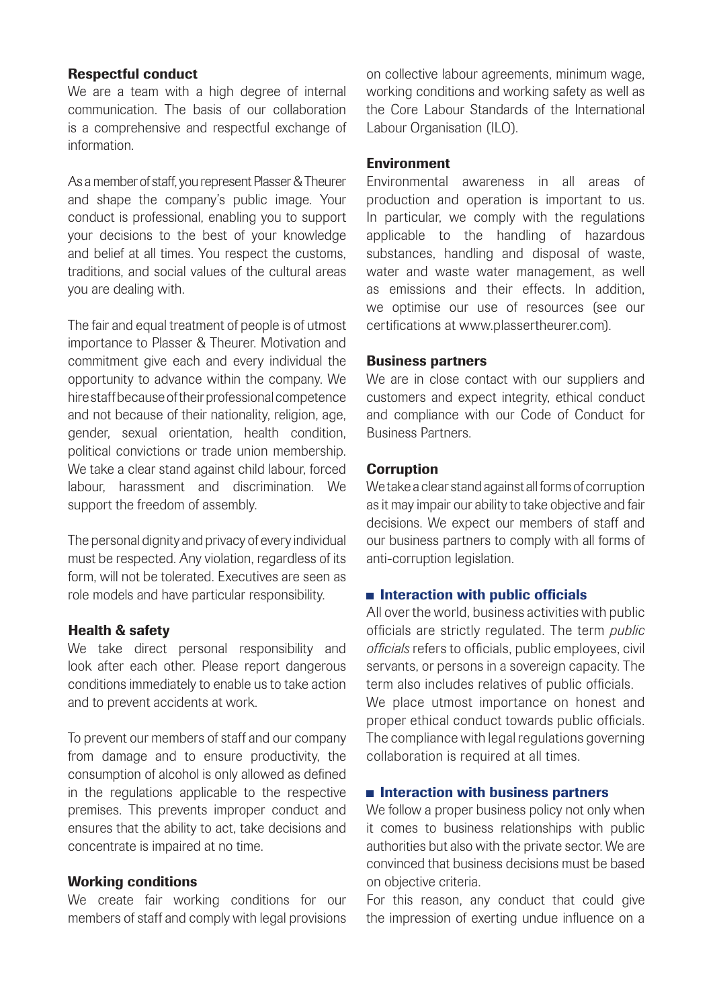#### Respectful conduct

We are a team with a high degree of internal communication. The basis of our collaboration is a comprehensive and respectful exchange of information.

As a member of staff, you represent Plasser & Theurer and shape the company's public image. Your conduct is professional, enabling you to support your decisions to the best of your knowledge and belief at all times. You respect the customs, traditions, and social values of the cultural areas you are dealing with.

The fair and equal treatment of people is of utmost importance to Plasser & Theurer. Motivation and commitment give each and every individual the opportunity to advance within the company. We hire staff because of their professional competence and not because of their nationality, religion, age, gender, sexual orientation, health condition, political convictions or trade union membership. We take a clear stand against child labour, forced labour, harassment and discrimination. We support the freedom of assembly.

The personal dignity and privacy of every individual must be respected. Any violation, regardless of its form, will not be tolerated. Executives are seen as role models and have particular responsibility.

#### Health & safety

We take direct personal responsibility and look after each other. Please report dangerous conditions immediately to enable us to take action and to prevent accidents at work.

To prevent our members of staff and our company from damage and to ensure productivity, the consumption of alcohol is only allowed as defined in the regulations applicable to the respective premises. This prevents improper conduct and ensures that the ability to act, take decisions and concentrate is impaired at no time.

#### Working conditions

We create fair working conditions for our members of staff and comply with legal provisions on collective labour agreements, minimum wage, working conditions and working safety as well as the Core Labour Standards of the International Labour Organisation (ILO).

### Environment

Environmental awareness in all areas of production and operation is important to us. In particular, we comply with the regulations applicable to the handling of hazardous substances, handling and disposal of waste, water and waste water management, as well as emissions and their effects. In addition, we optimise our use of resources (see our certifications at www.plassertheurer.com).

### Business partners

We are in close contact with our suppliers and customers and expect integrity, ethical conduct and compliance with our Code of Conduct for Business Partners.

### **Corruption**

We take a clear stand against all forms of corruption as it may impair our ability to take objective and fair decisions. We expect our members of staff and our business partners to comply with all forms of anti-corruption legislation.

#### $\blacksquare$  Interaction with public officials

All over the world, business activities with public officials are strictly regulated. The term *public officials* refers to officials, public employees, civil servants, or persons in a sovereign capacity. The term also includes relatives of public officials. We place utmost importance on honest and proper ethical conduct towards public officials. The compliance with legal regulations governing collaboration is required at all times.

#### $\blacksquare$  Interaction with business partners

We follow a proper business policy not only when it comes to business relationships with public authorities but also with the private sector. We are convinced that business decisions must be based on objective criteria.

For this reason, any conduct that could give the impression of exerting undue influence on a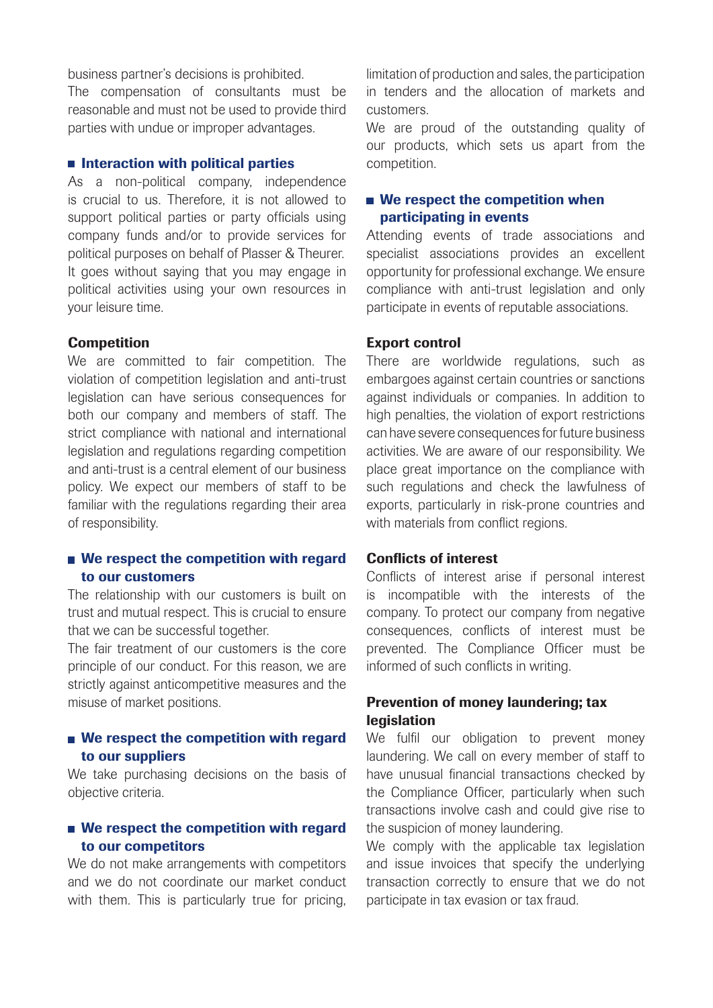business partner's decisions is prohibited.

The compensation of consultants must be reasonable and must not be used to provide third parties with undue or improper advantages.

#### $\blacksquare$  Interaction with political parties

As a non-political company, independence is crucial to us. Therefore, it is not allowed to support political parties or party officials using company funds and/or to provide services for political purposes on behalf of Plasser & Theurer. It goes without saying that you may engage in political activities using your own resources in your leisure time.

#### **Competition**

We are committed to fair competition. The violation of competition legislation and anti-trust legislation can have serious consequences for both our company and members of staff. The strict compliance with national and international legislation and regulations regarding competition and anti-trust is a central element of our business policy. We expect our members of staff to be familiar with the regulations regarding their area of responsibility.

## We respect the competition with regard to our customers

The relationship with our customers is built on trust and mutual respect. This is crucial to ensure that we can be successful together.

The fair treatment of our customers is the core principle of our conduct. For this reason, we are strictly against anticompetitive measures and the misuse of market positions.

## We respect the competition with regard to our suppliers

We take purchasing decisions on the basis of objective criteria.

## We respect the competition with regard to our competitors

We do not make arrangements with competitors and we do not coordinate our market conduct with them. This is particularly true for pricing, limitation of production and sales, the participation in tenders and the allocation of markets and customers.

We are proud of the outstanding quality of our products, which sets us apart from the competition.

## ■ We respect the competition when participating in events

Attending events of trade associations and specialist associations provides an excellent opportunity for professional exchange. We ensure compliance with anti-trust legislation and only participate in events of reputable associations.

#### Export control

There are worldwide regulations, such as embargoes against certain countries or sanctions against individuals or companies. In addition to high penalties, the violation of export restrictions can have severe consequences for future business activities. We are aware of our responsibility. We place great importance on the compliance with such regulations and check the lawfulness of exports, particularly in risk-prone countries and with materials from conflict regions.

#### Conflicts of interest

Conflicts of interest arise if personal interest is incompatible with the interests of the company. To protect our company from negative consequences, conflicts of interest must be prevented. The Compliance Officer must be informed of such conflicts in writing.

# Prevention of money laundering; tax legislation

We fulfil our obligation to prevent money laundering. We call on every member of staff to have unusual financial transactions checked by the Compliance Officer, particularly when such transactions involve cash and could give rise to the suspicion of money laundering.

We comply with the applicable tax legislation and issue invoices that specify the underlying transaction correctly to ensure that we do not participate in tax evasion or tax fraud.